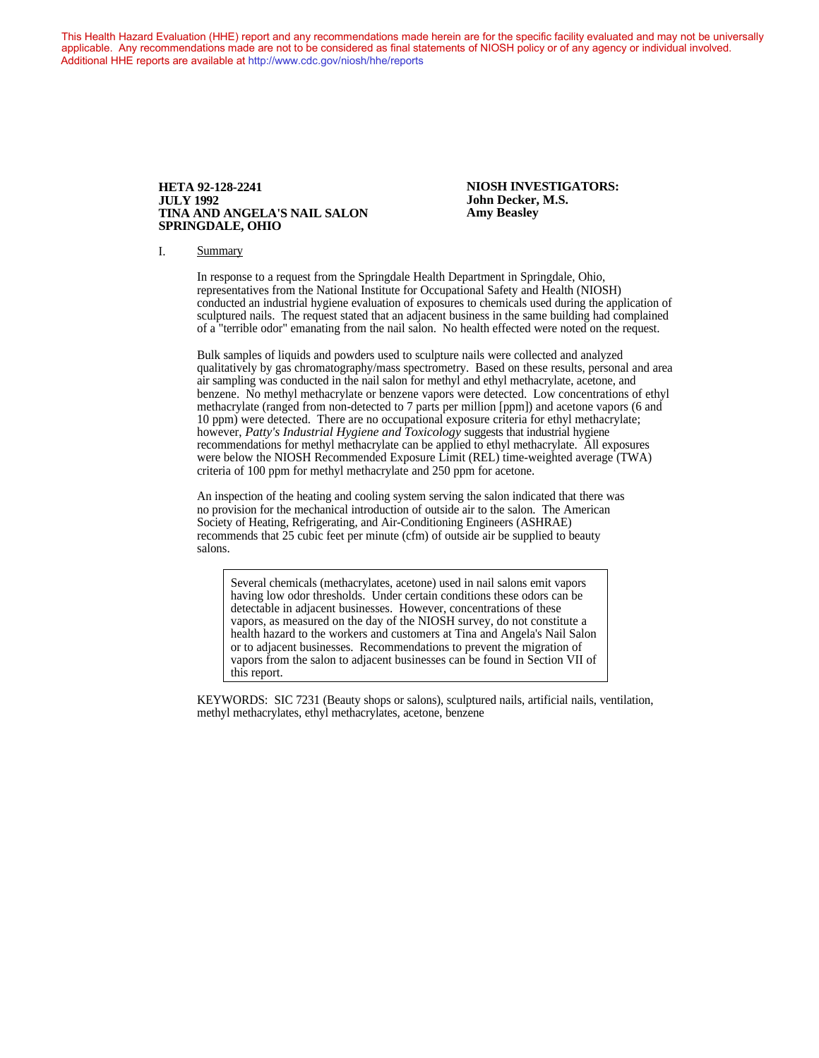This Health Hazard Evaluation (HHE) report and any recommendations made herein are for the specific facility evaluated and may not be universally applicable. Any recommendations made are not to be considered as final statements of NIOSH policy or of any agency or individual involved. Additional HHE reports are available at <http://www.cdc.gov/niosh/hhe/reports> Additional HHE reports are available at <http://www.cdc.gov/niosh/hhe/reports>

#### **HETA 92-128-2241 NIOSH INVESTIGATORS: JULY 1992 John Decker, M.S. TINA AND ANGELA'S NAIL SALON SPRINGDALE, OHIO**

#### I. Summary

In response to a request from the Springdale Health Department in Springdale, Ohio, representatives from the National Institute for Occupational Safety and Health (NIOSH) conducted an industrial hygiene evaluation of exposures to chemicals used during the application of sculptured nails. The request stated that an adjacent business in the same building had complained of a "terrible odor" emanating from the nail salon. No health effected were noted on the request.

Bulk samples of liquids and powders used to sculpture nails were collected and analyzed qualitatively by gas chromatography/mass spectrometry. Based on these results, personal and area air sampling was conducted in the nail salon for methyl and ethyl methacrylate, acetone, and benzene. No methyl methacrylate or benzene vapors were detected. Low concentrations of ethyl methacrylate (ranged from non-detected to 7 parts per million [ppm]) and acetone vapors (6 and 10 ppm) were detected. There are no occupational exposure criteria for ethyl methacrylate; however, *Patty's Industrial Hygiene and Toxicology* suggests that industrial hygiene recommendations for methyl methacrylate can be applied to ethyl methacrylate. All exposures were below the NIOSH Recommended Exposure Limit (REL) time-weighted average (TWA) criteria of 100 ppm for methyl methacrylate and 250 ppm for acetone.

An inspection of the heating and cooling system serving the salon indicated that there was no provision for the mechanical introduction of outside air to the salon. The American Society of Heating, Refrigerating, and Air-Conditioning Engineers (ASHRAE) recommends that 25 cubic feet per minute (cfm) of outside air be supplied to beauty salons.

Several chemicals (methacrylates, acetone) used in nail salons emit vapors having low odor thresholds. Under certain conditions these odors can be detectable in adjacent businesses. However, concentrations of these vapors, as measured on the day of the NIOSH survey, do not constitute a health hazard to the workers and customers at Tina and Angela's Nail Salon or to adjacent businesses. Recommendations to prevent the migration of vapors from the salon to adjacent businesses can be found in Section VII of this report.

KEYWORDS: SIC 7231 (Beauty shops or salons), sculptured nails, artificial nails, ventilation, methyl methacrylates, ethyl methacrylates, acetone, benzene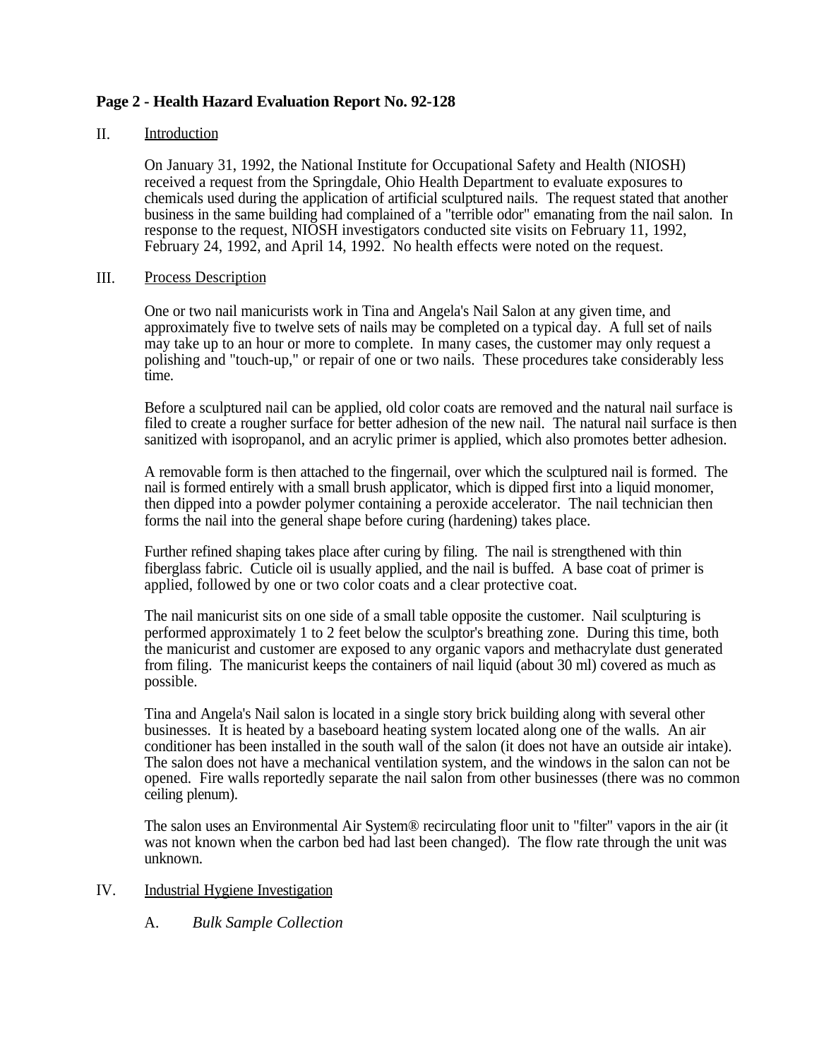# **Page 2 - Health Hazard Evaluation Report No. 92-128**

## II. Introduction

On January 31, 1992, the National Institute for Occupational Safety and Health (NIOSH) received a request from the Springdale, Ohio Health Department to evaluate exposures to chemicals used during the application of artificial sculptured nails. The request stated that another business in the same building had complained of a "terrible odor" emanating from the nail salon. In response to the request, NIOSH investigators conducted site visits on February 11, 1992, February 24, 1992, and April 14, 1992. No health effects were noted on the request.

### III. Process Description

One or two nail manicurists work in Tina and Angela's Nail Salon at any given time, and approximately five to twelve sets of nails may be completed on a typical day. A full set of nails may take up to an hour or more to complete. In many cases, the customer may only request a polishing and "touch-up," or repair of one or two nails. These procedures take considerably less time.

Before a sculptured nail can be applied, old color coats are removed and the natural nail surface is filed to create a rougher surface for better adhesion of the new nail. The natural nail surface is then sanitized with isopropanol, and an acrylic primer is applied, which also promotes better adhesion.

A removable form is then attached to the fingernail, over which the sculptured nail is formed. The nail is formed entirely with a small brush applicator, which is dipped first into a liquid monomer, then dipped into a powder polymer containing a peroxide accelerator. The nail technician then forms the nail into the general shape before curing (hardening) takes place.

Further refined shaping takes place after curing by filing. The nail is strengthened with thin fiberglass fabric. Cuticle oil is usually applied, and the nail is buffed. A base coat of primer is applied, followed by one or two color coats and a clear protective coat.

The nail manicurist sits on one side of a small table opposite the customer. Nail sculpturing is performed approximately 1 to 2 feet below the sculptor's breathing zone. During this time, both the manicurist and customer are exposed to any organic vapors and methacrylate dust generated from filing. The manicurist keeps the containers of nail liquid (about 30 ml) covered as much as possible.

Tina and Angela's Nail salon is located in a single story brick building along with several other businesses. It is heated by a baseboard heating system located along one of the walls. An air conditioner has been installed in the south wall of the salon (it does not have an outside air intake). The salon does not have a mechanical ventilation system, and the windows in the salon can not be opened. Fire walls reportedly separate the nail salon from other businesses (there was no common ceiling plenum).

The salon uses an Environmental Air System® recirculating floor unit to "filter" vapors in the air (it was not known when the carbon bed had last been changed). The flow rate through the unit was unknown.

# IV. Industrial Hygiene Investigation

A. *Bulk Sample Collection*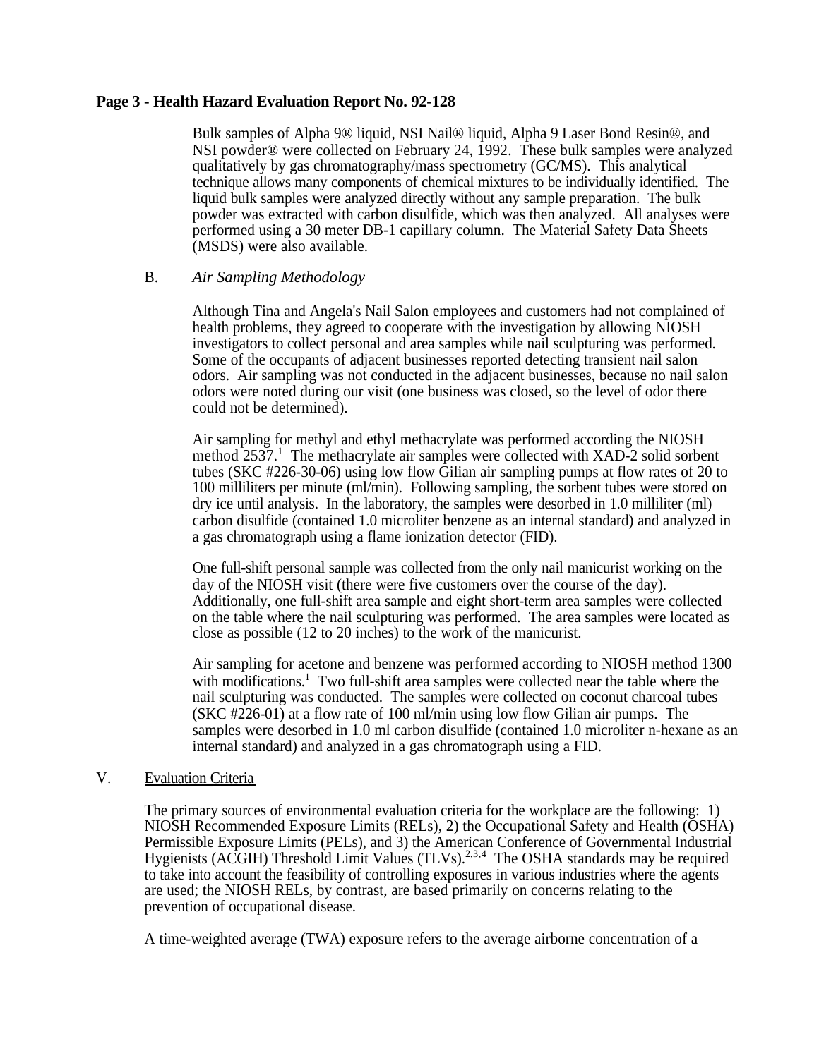## **Page 3 - Health Hazard Evaluation Report No. 92-128**

Bulk samples of Alpha 9® liquid, NSI Nail® liquid, Alpha 9 Laser Bond Resin®, and NSI powder® were collected on February 24, 1992. These bulk samples were analyzed qualitatively by gas chromatography/mass spectrometry (GC/MS). This analytical technique allows many components of chemical mixtures to be individually identified. The liquid bulk samples were analyzed directly without any sample preparation. The bulk powder was extracted with carbon disulfide, which was then analyzed. All analyses were performed using a 30 meter DB-1 capillary column. The Material Safety Data Sheets (MSDS) were also available.

## B. *Air Sampling Methodology*

Although Tina and Angela's Nail Salon employees and customers had not complained of health problems, they agreed to cooperate with the investigation by allowing NIOSH investigators to collect personal and area samples while nail sculpturing was performed. Some of the occupants of adjacent businesses reported detecting transient nail salon odors. Air sampling was not conducted in the adjacent businesses, because no nail salon odors were noted during our visit (one business was closed, so the level of odor there could not be determined).

Air sampling for methyl and ethyl methacrylate was performed according the NIOSH method 2537.<sup>1</sup> The methacrylate air samples were collected with XAD-2 solid sorbent tubes (SKC #226-30-06) using low flow Gilian air sampling pumps at flow rates of 20 to 100 milliliters per minute (ml/min). Following sampling, the sorbent tubes were stored on dry ice until analysis. In the laboratory, the samples were desorbed in 1.0 milliliter (ml) carbon disulfide (contained 1.0 microliter benzene as an internal standard) and analyzed in a gas chromatograph using a flame ionization detector (FID).

One full-shift personal sample was collected from the only nail manicurist working on the day of the NIOSH visit (there were five customers over the course of the day). Additionally, one full-shift area sample and eight short-term area samples were collected on the table where the nail sculpturing was performed. The area samples were located as close as possible (12 to 20 inches) to the work of the manicurist.

Air sampling for acetone and benzene was performed according to NIOSH method 1300 with modifications.<sup>1</sup> Two full-shift area samples were collected near the table where the nail sculpturing was conducted. The samples were collected on coconut charcoal tubes (SKC #226-01) at a flow rate of 100 ml/min using low flow Gilian air pumps. The samples were desorbed in 1.0 ml carbon disulfide (contained 1.0 microliter n-hexane as an internal standard) and analyzed in a gas chromatograph using a FID.

### V. Evaluation Criteria

The primary sources of environmental evaluation criteria for the workplace are the following: 1) NIOSH Recommended Exposure Limits (RELs), 2) the Occupational Safety and Health (OSHA) Permissible Exposure Limits (PELs), and 3) the American Conference of Governmental Industrial Hygienists (ACGIH) Threshold Limit Values (TLVs).<sup>2,3,4</sup> The OSHA standards may be required to take into account the feasibility of controlling exposures in various industries where the agents are used; the NIOSH RELs, by contrast, are based primarily on concerns relating to the prevention of occupational disease.

A time-weighted average (TWA) exposure refers to the average airborne concentration of a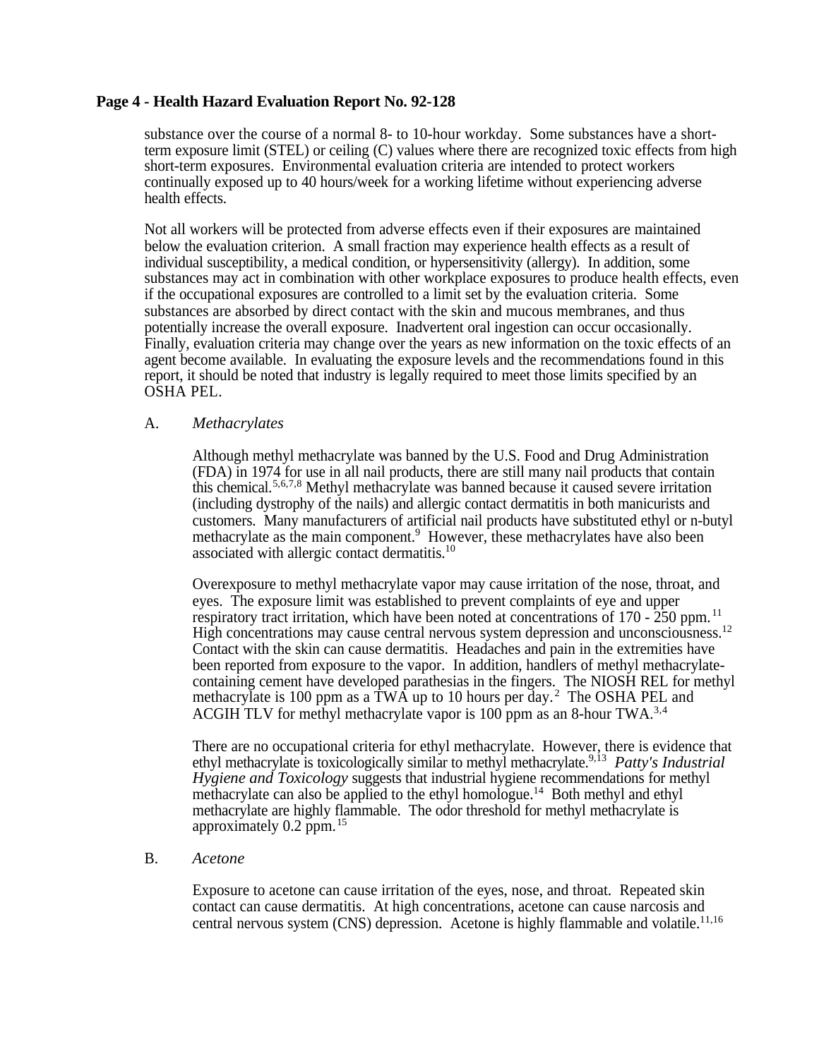## **Page 4 - Health Hazard Evaluation Report No. 92-128**

substance over the course of a normal 8- to 10-hour workday. Some substances have a shortterm exposure limit (STEL) or ceiling (C) values where there are recognized toxic effects from high short-term exposures. Environmental evaluation criteria are intended to protect workers continually exposed up to 40 hours/week for a working lifetime without experiencing adverse health effects.

Not all workers will be protected from adverse effects even if their exposures are maintained below the evaluation criterion. A small fraction may experience health effects as a result of individual susceptibility, a medical condition, or hypersensitivity (allergy). In addition, some substances may act in combination with other workplace exposures to produce health effects, even if the occupational exposures are controlled to a limit set by the evaluation criteria. Some substances are absorbed by direct contact with the skin and mucous membranes, and thus potentially increase the overall exposure. Inadvertent oral ingestion can occur occasionally. Finally, evaluation criteria may change over the years as new information on the toxic effects of an agent become available. In evaluating the exposure levels and the recommendations found in this report, it should be noted that industry is legally required to meet those limits specified by an OSHA PEL.

#### A. *Methacrylates*

Although methyl methacrylate was banned by the U.S. Food and Drug Administration (FDA) in 1974 for use in all nail products, there are still many nail products that contain this chemical.5,6,7,8 Methyl methacrylate was banned because it caused severe irritation (including dystrophy of the nails) and allergic contact dermatitis in both manicurists and customers. Many manufacturers of artificial nail products have substituted ethyl or n-butyl methacrylate as the main component.<sup>9</sup> However, these methacrylates have also been associated with allergic contact dermatitis.<sup>10</sup>

Overexposure to methyl methacrylate vapor may cause irritation of the nose, throat, and eyes. The exposure limit was established to prevent complaints of eye and upper respiratory tract irritation, which have been noted at concentrations of  $170 - 250$  ppm.<sup>11</sup> High concentrations may cause central nervous system depression and unconsciousness.<sup>12</sup> Contact with the skin can cause dermatitis. Headaches and pain in the extremities have been reported from exposure to the vapor. In addition, handlers of methyl methacrylatecontaining cement have developed parathesias in the fingers. The NIOSH REL for methyl methacrylate is 100 ppm as a TWA up to 10 hours per day.<sup>2</sup> The OSHA PEL and ACGIH TLV for methyl methacrylate vapor is 100 ppm as an 8-hour TWA.3,4

There are no occupational criteria for ethyl methacrylate. However, there is evidence that ethyl methacrylate is toxicologically similar to methyl methacrylate.9,13 *Patty's Industrial Hygiene and Toxicology* suggests that industrial hygiene recommendations for methyl methacrylate can also be applied to the ethyl homologue.<sup>14</sup> Both methyl and ethyl methacrylate are highly flammable. The odor threshold for methyl methacrylate is approximately  $0.2$  ppm.<sup>15</sup>

### B. *Acetone*

Exposure to acetone can cause irritation of the eyes, nose, and throat. Repeated skin contact can cause dermatitis. At high concentrations, acetone can cause narcosis and central nervous system (CNS) depression. Acetone is highly flammable and volatile.<sup>11,16</sup>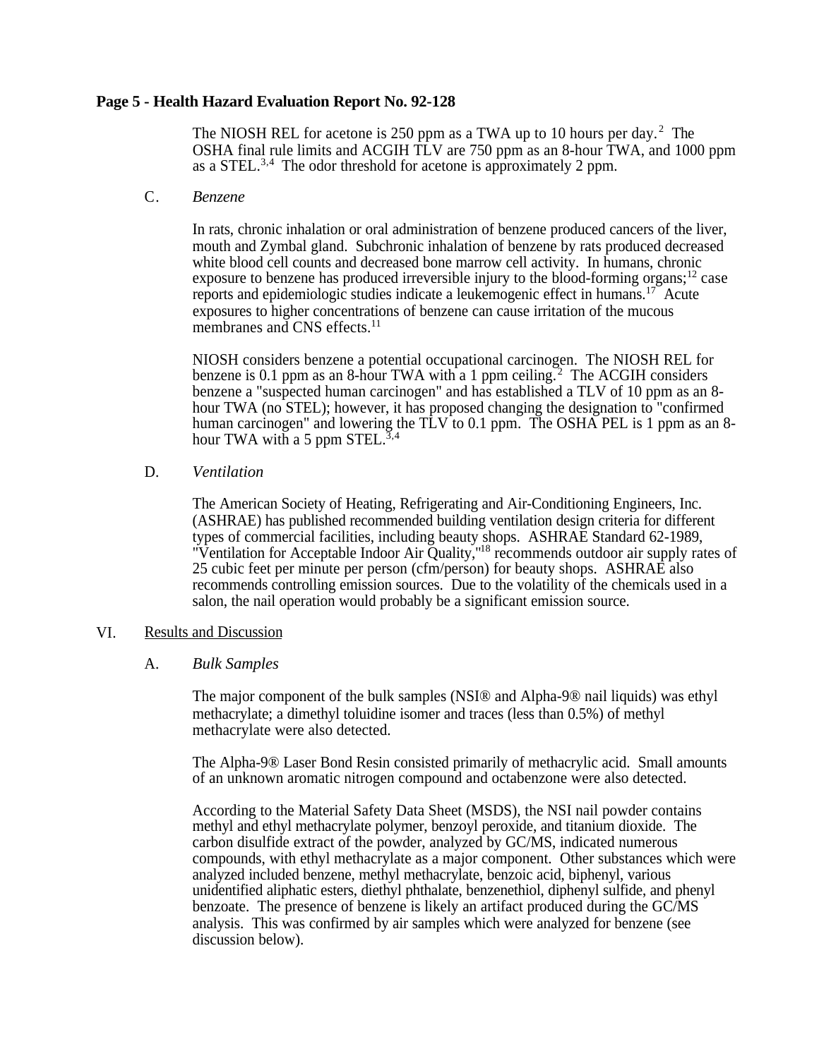## **Page 5 - Health Hazard Evaluation Report No. 92-128**

The NIOSH REL for acetone is 250 ppm as a TWA up to 10 hours per day.<sup>2</sup> The OSHA final rule limits and ACGIH TLV are 750 ppm as an 8-hour TWA, and 1000 ppm as a STEL.<sup>3,4</sup> The odor threshold for acetone is approximately 2 ppm.

### C. *Benzene*

In rats, chronic inhalation or oral administration of benzene produced cancers of the liver, mouth and Zymbal gland. Subchronic inhalation of benzene by rats produced decreased white blood cell counts and decreased bone marrow cell activity. In humans, chronic exposure to benzene has produced irreversible injury to the blood-forming organs;<sup>12</sup> case reports and epidemiologic studies indicate a leukemogenic effect in humans.<sup>17</sup> Acute exposures to higher concentrations of benzene can cause irritation of the mucous membranes and CNS effects.<sup>11</sup>

NIOSH considers benzene a potential occupational carcinogen. The NIOSH REL for benzene is 0.1 ppm as an 8-hour TWA with a 1 ppm ceiling.<sup>2</sup> The ACGIH considers benzene a "suspected human carcinogen" and has established a TLV of 10 ppm as an 8 hour TWA (no STEL); however, it has proposed changing the designation to "confirmed human carcinogen" and lowering the TLV to 0.1 ppm. The OSHA PEL is 1 ppm as an 8hour TWA with a 5 ppm STEL. $3,4$ 

## D. *Ventilation*

The American Society of Heating, Refrigerating and Air-Conditioning Engineers, Inc. (ASHRAE) has published recommended building ventilation design criteria for different types of commercial facilities, including beauty shops. ASHRAE Standard 62-1989, "Ventilation for Acceptable Indoor Air Quality,"<sup>18</sup> recommends outdoor air supply rates of 25 cubic feet per minute per person (cfm/person) for beauty shops. ASHRAE also recommends controlling emission sources. Due to the volatility of the chemicals used in a salon, the nail operation would probably be a significant emission source.

### VI. Results and Discussion

### A. *Bulk Samples*

The major component of the bulk samples (NSI® and Alpha-9® nail liquids) was ethyl methacrylate; a dimethyl toluidine isomer and traces (less than 0.5%) of methyl methacrylate were also detected.

The Alpha-9® Laser Bond Resin consisted primarily of methacrylic acid. Small amounts of an unknown aromatic nitrogen compound and octabenzone were also detected.

According to the Material Safety Data Sheet (MSDS), the NSI nail powder contains methyl and ethyl methacrylate polymer, benzoyl peroxide, and titanium dioxide. The carbon disulfide extract of the powder, analyzed by GC/MS, indicated numerous compounds, with ethyl methacrylate as a major component. Other substances which were analyzed included benzene, methyl methacrylate, benzoic acid, biphenyl, various unidentified aliphatic esters, diethyl phthalate, benzenethiol, diphenyl sulfide, and phenyl benzoate. The presence of benzene is likely an artifact produced during the GC/MS analysis. This was confirmed by air samples which were analyzed for benzene (see discussion below).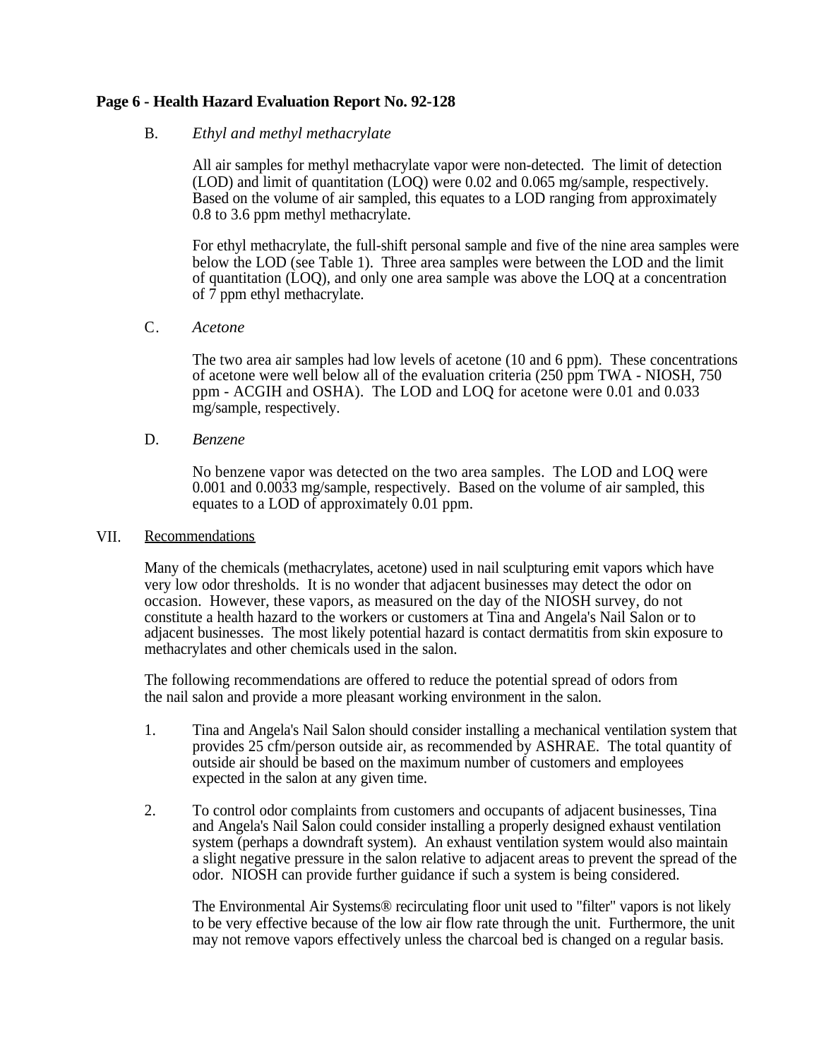# **Page 6 - Health Hazard Evaluation Report No. 92-128**

#### B. *Ethyl and methyl methacrylate*

All air samples for methyl methacrylate vapor were non-detected. The limit of detection (LOD) and limit of quantitation (LOQ) were 0.02 and 0.065 mg/sample, respectively. Based on the volume of air sampled, this equates to a LOD ranging from approximately 0.8 to 3.6 ppm methyl methacrylate.

For ethyl methacrylate, the full-shift personal sample and five of the nine area samples were below the LOD (see Table 1). Three area samples were between the LOD and the limit of quantitation (LOQ), and only one area sample was above the LOQ at a concentration of 7 ppm ethyl methacrylate.

### C. *Acetone*

The two area air samples had low levels of acetone (10 and 6 ppm). These concentrations of acetone were well below all of the evaluation criteria (250 ppm TWA - NIOSH, 750 ppm - ACGIH and OSHA). The LOD and LOQ for acetone were 0.01 and 0.033 mg/sample, respectively.

#### D. *Benzene*

No benzene vapor was detected on the two area samples. The LOD and LOQ were 0.001 and 0.0033 mg/sample, respectively. Based on the volume of air sampled, this equates to a LOD of approximately 0.01 ppm.

#### VII. Recommendations

Many of the chemicals (methacrylates, acetone) used in nail sculpturing emit vapors which have very low odor thresholds. It is no wonder that adjacent businesses may detect the odor on occasion. However, these vapors, as measured on the day of the NIOSH survey, do not constitute a health hazard to the workers or customers at Tina and Angela's Nail Salon or to adjacent businesses. The most likely potential hazard is contact dermatitis from skin exposure to methacrylates and other chemicals used in the salon.

The following recommendations are offered to reduce the potential spread of odors from the nail salon and provide a more pleasant working environment in the salon.

- 1. Tina and Angela's Nail Salon should consider installing a mechanical ventilation system that provides 25 cfm/person outside air, as recommended by ASHRAE. The total quantity of outside air should be based on the maximum number of customers and employees expected in the salon at any given time.
- 2. To control odor complaints from customers and occupants of adjacent businesses, Tina and Angela's Nail Salon could consider installing a properly designed exhaust ventilation system (perhaps a downdraft system). An exhaust ventilation system would also maintain a slight negative pressure in the salon relative to adjacent areas to prevent the spread of the odor. NIOSH can provide further guidance if such a system is being considered.

The Environmental Air Systems® recirculating floor unit used to "filter" vapors is not likely to be very effective because of the low air flow rate through the unit. Furthermore, the unit may not remove vapors effectively unless the charcoal bed is changed on a regular basis.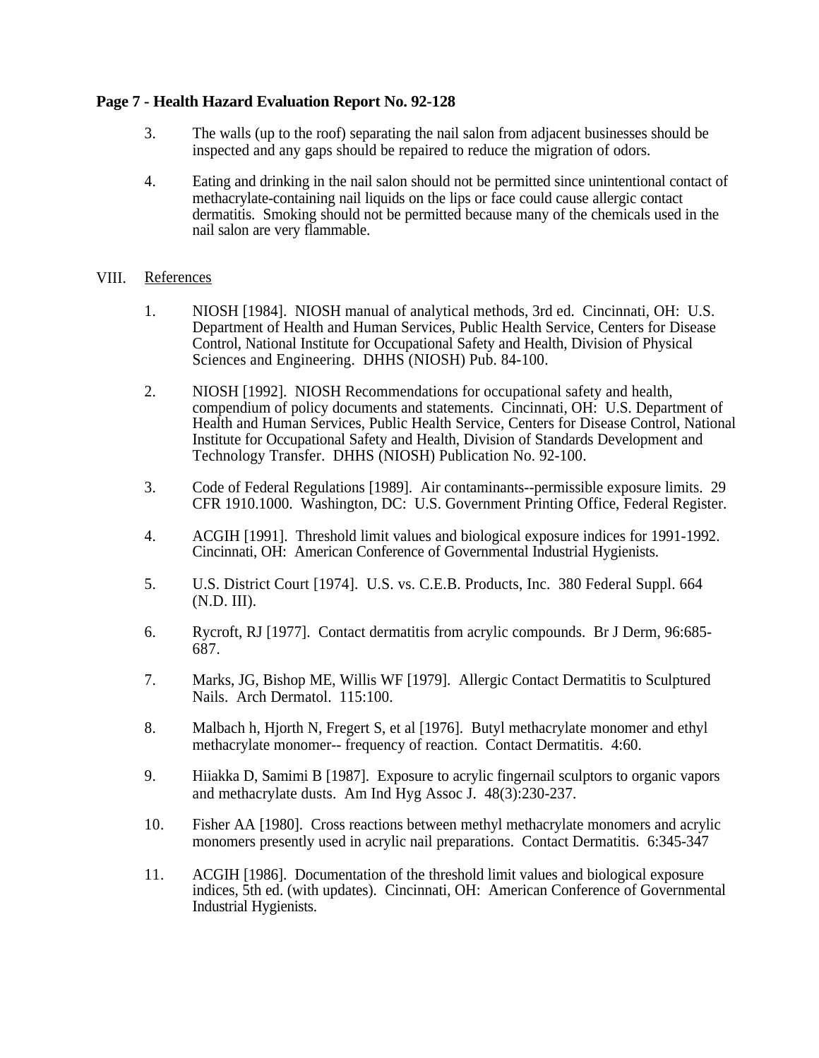# **Page 7 - Health Hazard Evaluation Report No. 92-128**

- 3. The walls (up to the roof) separating the nail salon from adjacent businesses should be inspected and any gaps should be repaired to reduce the migration of odors.
- 4. Eating and drinking in the nail salon should not be permitted since unintentional contact of methacrylate-containing nail liquids on the lips or face could cause allergic contact dermatitis. Smoking should not be permitted because many of the chemicals used in the nail salon are very flammable.

### VIII. References

- 1. NIOSH [1984]. NIOSH manual of analytical methods, 3rd ed. Cincinnati, OH: U.S. Department of Health and Human Services, Public Health Service, Centers for Disease Control, National Institute for Occupational Safety and Health, Division of Physical Sciences and Engineering. DHHS (NIOSH) Pub. 84-100.
- 2. NIOSH [1992]. NIOSH Recommendations for occupational safety and health, compendium of policy documents and statements. Cincinnati, OH: U.S. Department of Health and Human Services, Public Health Service, Centers for Disease Control, National Institute for Occupational Safety and Health, Division of Standards Development and Technology Transfer. DHHS (NIOSH) Publication No. 92-100.
- 3. Code of Federal Regulations [1989]. Air contaminants--permissible exposure limits. 29 CFR 1910.1000. Washington, DC: U.S. Government Printing Office, Federal Register.
- 4. ACGIH [1991]. Threshold limit values and biological exposure indices for 1991-1992. Cincinnati, OH: American Conference of Governmental Industrial Hygienists.
- 5. U.S. District Court [1974]. U.S. vs. C.E.B. Products, Inc. 380 Federal Suppl. 664 (N.D. III).
- 6. Rycroft, RJ [1977]. Contact dermatitis from acrylic compounds. Br J Derm, 96:685- 687.
- 7. Marks, JG, Bishop ME, Willis WF [1979]. Allergic Contact Dermatitis to Sculptured Nails. Arch Dermatol. 115:100.
- 8. Malbach h, Hjorth N, Fregert S, et al [1976]. Butyl methacrylate monomer and ethyl methacrylate monomer-- frequency of reaction. Contact Dermatitis. 4:60.
- 9. Hiiakka D, Samimi B [1987]. Exposure to acrylic fingernail sculptors to organic vapors and methacrylate dusts. Am Ind Hyg Assoc J. 48(3):230-237.
- 10. Fisher AA [1980]. Cross reactions between methyl methacrylate monomers and acrylic monomers presently used in acrylic nail preparations. Contact Dermatitis. 6:345-347
- 11. ACGIH [1986]. Documentation of the threshold limit values and biological exposure indices, 5th ed. (with updates). Cincinnati, OH: American Conference of Governmental Industrial Hygienists.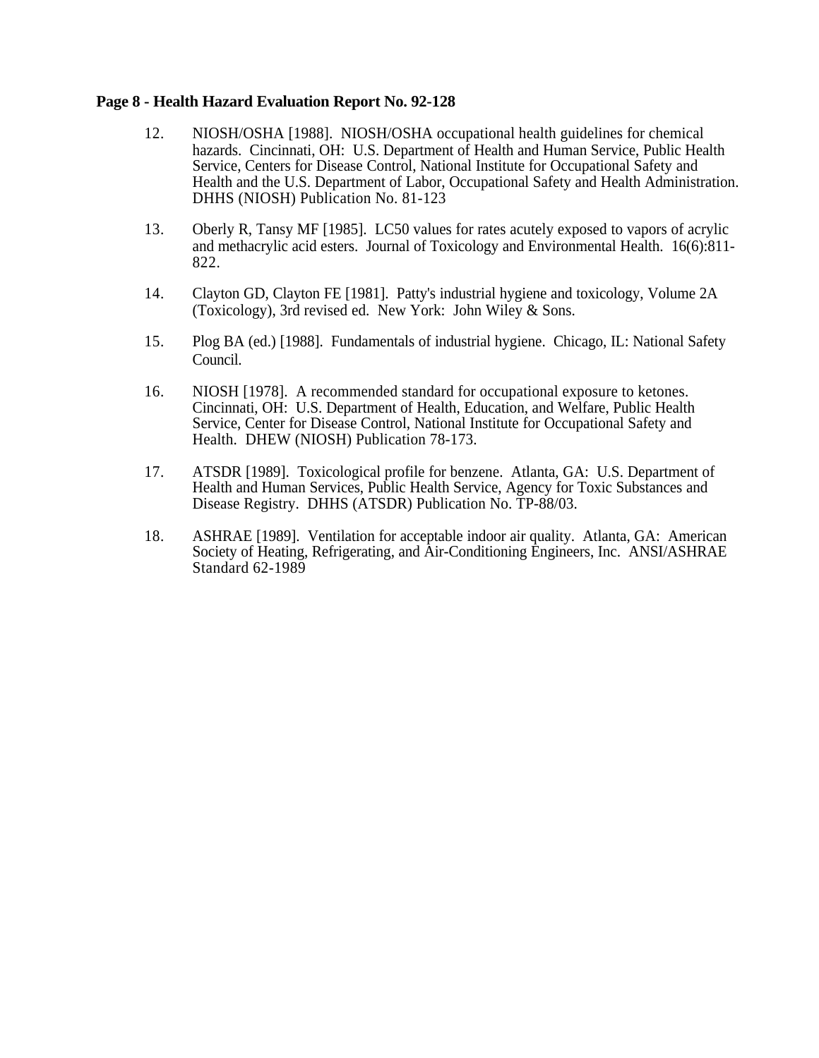### **Page 8 - Health Hazard Evaluation Report No. 92-128**

- 12. NIOSH/OSHA [1988]. NIOSH/OSHA occupational health guidelines for chemical hazards. Cincinnati, OH: U.S. Department of Health and Human Service, Public Health Service, Centers for Disease Control, National Institute for Occupational Safety and Health and the U.S. Department of Labor, Occupational Safety and Health Administration. DHHS (NIOSH) Publication No. 81-123
- 13. Oberly R, Tansy MF [1985]. LC50 values for rates acutely exposed to vapors of acrylic and methacrylic acid esters. Journal of Toxicology and Environmental Health. 16(6):811- 822.
- 14. Clayton GD, Clayton FE [1981]. Patty's industrial hygiene and toxicology, Volume 2A (Toxicology), 3rd revised ed. New York: John Wiley & Sons.
- 15. Plog BA (ed.) [1988]. Fundamentals of industrial hygiene. Chicago, IL: National Safety Council.
- 16. NIOSH [1978]. A recommended standard for occupational exposure to ketones. Cincinnati, OH: U.S. Department of Health, Education, and Welfare, Public Health Service, Center for Disease Control, National Institute for Occupational Safety and Health. DHEW (NIOSH) Publication 78-173.
- 17. ATSDR [1989]. Toxicological profile for benzene. Atlanta, GA: U.S. Department of Health and Human Services, Public Health Service, Agency for Toxic Substances and Disease Registry. DHHS (ATSDR) Publication No. TP-88/03.
- 18. ASHRAE [1989]. Ventilation for acceptable indoor air quality. Atlanta, GA: American Society of Heating, Refrigerating, and Air-Conditioning Engineers, Inc. ANSI/ASHRAE Standard 62-1989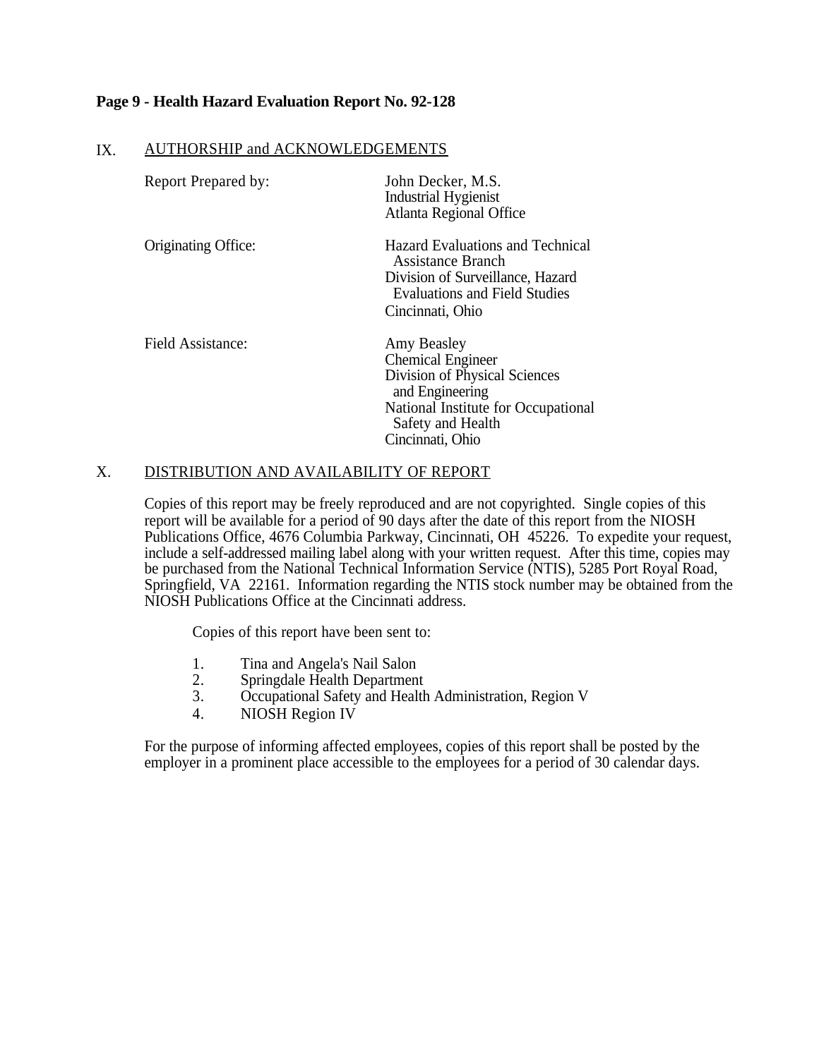# **Page 9 - Health Hazard Evaluation Report No. 92-128**

## IX. AUTHORSHIP and ACKNOWLEDGEMENTS

| Report Prepared by: | John Decker, M.S.<br><b>Industrial Hygienist</b><br><b>Atlanta Regional Office</b>                                                                                          |
|---------------------|-----------------------------------------------------------------------------------------------------------------------------------------------------------------------------|
| Originating Office: | Hazard Evaluations and Technical<br>Assistance Branch<br>Division of Surveillance, Hazard<br><b>Evaluations and Field Studies</b><br>Cincinnati, Ohio                       |
| Field Assistance:   | Amy Beasley<br><b>Chemical Engineer</b><br>Division of Physical Sciences<br>and Engineering<br>National Institute for Occupational<br>Safety and Health<br>Cincinnati, Ohio |

# X. DISTRIBUTION AND AVAILABILITY OF REPORT

Copies of this report may be freely reproduced and are not copyrighted. Single copies of this report will be available for a period of 90 days after the date of this report from the NIOSH Publications Office, 4676 Columbia Parkway, Cincinnati, OH 45226. To expedite your request, include a self-addressed mailing label along with your written request. After this time, copies may be purchased from the National Technical Information Service (NTIS), 5285 Port Royal Road, Springfield, VA 22161. Information regarding the NTIS stock number may be obtained from the NIOSH Publications Office at the Cincinnati address.

Copies of this report have been sent to:

- 1. Tina and Angela's Nail Salon
- 2. Springdale Health Department
- 3. Occupational Safety and Health Administration, Region V
- 4. NIOSH Region IV

For the purpose of informing affected employees, copies of this report shall be posted by the employer in a prominent place accessible to the employees for a period of 30 calendar days.